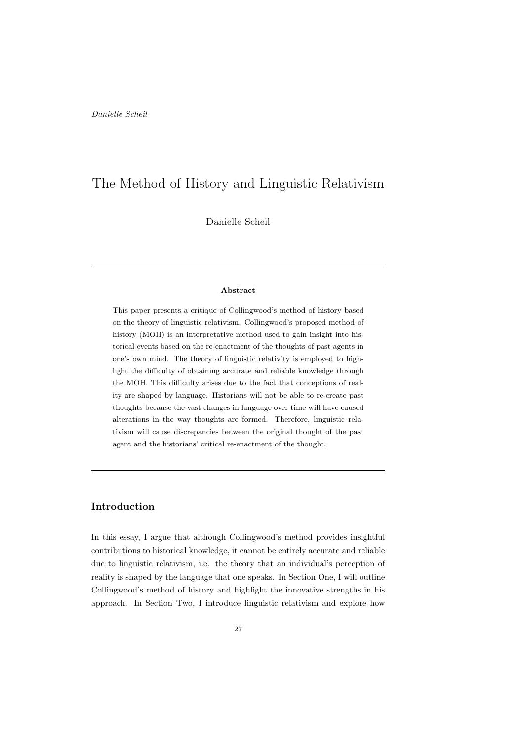# The Method of History and Linguistic Relativism

Danielle Scheil

#### Abstract

This paper presents a critique of Collingwood's method of history based on the theory of linguistic relativism. Collingwood's proposed method of history (MOH) is an interpretative method used to gain insight into historical events based on the re-enactment of the thoughts of past agents in one's own mind. The theory of linguistic relativity is employed to highlight the difficulty of obtaining accurate and reliable knowledge through the MOH. This difficulty arises due to the fact that conceptions of reality are shaped by language. Historians will not be able to re-create past thoughts because the vast changes in language over time will have caused alterations in the way thoughts are formed. Therefore, linguistic relativism will cause discrepancies between the original thought of the past agent and the historians' critical re-enactment of the thought.

## Introduction

In this essay, I argue that although Collingwood's method provides insightful contributions to historical knowledge, it cannot be entirely accurate and reliable due to linguistic relativism, i.e. the theory that an individual's perception of reality is shaped by the language that one speaks. In Section One, I will outline Collingwood's method of history and highlight the innovative strengths in his approach. In Section Two, I introduce linguistic relativism and explore how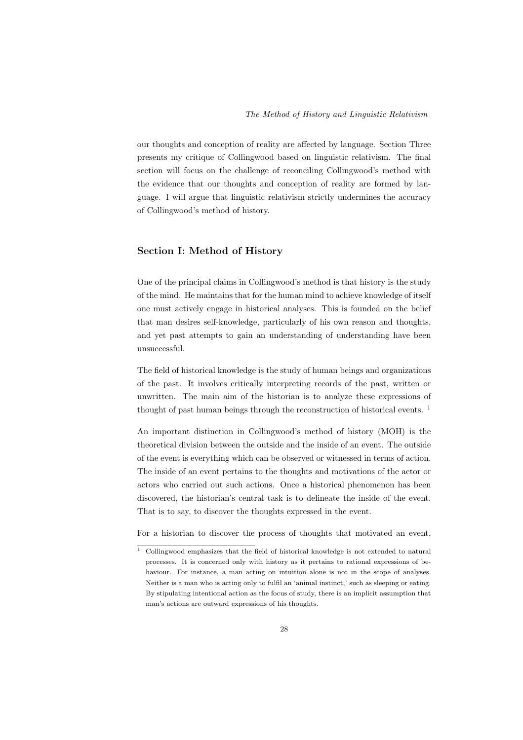our thoughts and conception of reality are affected by language. Section Three presents my critique of Collingwood based on linguistic relativism. The final section will focus on the challenge of reconciling Collingwood's method with the evidence that our thoughts and conception of reality are formed by language. I will argue that linguistic relativism strictly undermines the accuracy of Collingwood's method of history.

### Section I: Method of History

One of the principal claims in Collingwood's method is that history is the study of the mind. He maintains that for the human mind to achieve knowledge of itself one must actively engage in historical analyses. This is founded on the belief that man desires self-knowledge, particularly of his own reason and thoughts, and yet past attempts to gain an understanding of understanding have been unsuccessful.

The field of historical knowledge is the study of human beings and organizations of the past. It involves critically interpreting records of the past, written or unwritten. The main aim of the historian is to analyze these expressions of thought of past human beings through the reconstruction of historical events. <sup>1</sup>

An important distinction in Collingwood's method of history (MOH) is the theoretical division between the outside and the inside of an event. The outside of the event is everything which can be observed or witnessed in terms of action. The inside of an event pertains to the thoughts and motivations of the actor or actors who carried out such actions. Once a historical phenomenon has been discovered, the historian's central task is to delineate the inside of the event. That is to say, to discover the thoughts expressed in the event.

For a historian to discover the process of thoughts that motivated an event,

<sup>&</sup>lt;sup>1</sup> Collingwood emphasizes that the field of historical knowledge is not extended to natural processes. It is concerned only with history as it pertains to rational expressions of behaviour. For instance, a man acting on intuition alone is not in the scope of analyses. Neither is a man who is acting only to fulfil an 'animal instinct,' such as sleeping or eating. By stipulating intentional action as the focus of study, there is an implicit assumption that man's actions are outward expressions of his thoughts.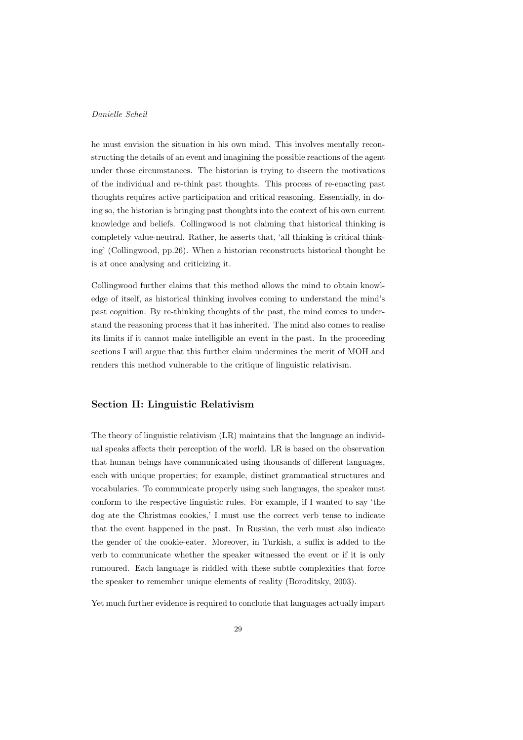he must envision the situation in his own mind. This involves mentally reconstructing the details of an event and imagining the possible reactions of the agent under those circumstances. The historian is trying to discern the motivations of the individual and re-think past thoughts. This process of re-enacting past thoughts requires active participation and critical reasoning. Essentially, in doing so, the historian is bringing past thoughts into the context of his own current knowledge and beliefs. Collingwood is not claiming that historical thinking is completely value-neutral. Rather, he asserts that, 'all thinking is critical thinking' (Collingwood, pp.26). When a historian reconstructs historical thought he is at once analysing and criticizing it.

Collingwood further claims that this method allows the mind to obtain knowledge of itself, as historical thinking involves coming to understand the mind's past cognition. By re-thinking thoughts of the past, the mind comes to understand the reasoning process that it has inherited. The mind also comes to realise its limits if it cannot make intelligible an event in the past. In the proceeding sections I will argue that this further claim undermines the merit of MOH and renders this method vulnerable to the critique of linguistic relativism.

#### Section II: Linguistic Relativism

The theory of linguistic relativism (LR) maintains that the language an individual speaks affects their perception of the world. LR is based on the observation that human beings have communicated using thousands of different languages, each with unique properties; for example, distinct grammatical structures and vocabularies. To communicate properly using such languages, the speaker must conform to the respective linguistic rules. For example, if I wanted to say 'the dog ate the Christmas cookies,' I must use the correct verb tense to indicate that the event happened in the past. In Russian, the verb must also indicate the gender of the cookie-eater. Moreover, in Turkish, a suffix is added to the verb to communicate whether the speaker witnessed the event or if it is only rumoured. Each language is riddled with these subtle complexities that force the speaker to remember unique elements of reality (Boroditsky, 2003).

Yet much further evidence is required to conclude that languages actually impart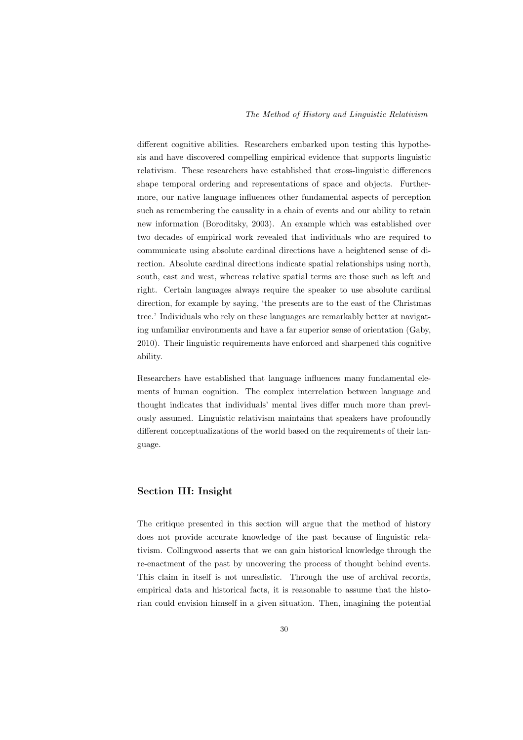different cognitive abilities. Researchers embarked upon testing this hypothesis and have discovered compelling empirical evidence that supports linguistic relativism. These researchers have established that cross-linguistic differences shape temporal ordering and representations of space and objects. Furthermore, our native language influences other fundamental aspects of perception such as remembering the causality in a chain of events and our ability to retain new information (Boroditsky, 2003). An example which was established over two decades of empirical work revealed that individuals who are required to communicate using absolute cardinal directions have a heightened sense of direction. Absolute cardinal directions indicate spatial relationships using north, south, east and west, whereas relative spatial terms are those such as left and right. Certain languages always require the speaker to use absolute cardinal direction, for example by saying, 'the presents are to the east of the Christmas tree.' Individuals who rely on these languages are remarkably better at navigating unfamiliar environments and have a far superior sense of orientation (Gaby, 2010). Their linguistic requirements have enforced and sharpened this cognitive ability.

Researchers have established that language influences many fundamental elements of human cognition. The complex interrelation between language and thought indicates that individuals' mental lives differ much more than previously assumed. Linguistic relativism maintains that speakers have profoundly different conceptualizations of the world based on the requirements of their language.

#### Section III: Insight

The critique presented in this section will argue that the method of history does not provide accurate knowledge of the past because of linguistic relativism. Collingwood asserts that we can gain historical knowledge through the re-enactment of the past by uncovering the process of thought behind events. This claim in itself is not unrealistic. Through the use of archival records, empirical data and historical facts, it is reasonable to assume that the historian could envision himself in a given situation. Then, imagining the potential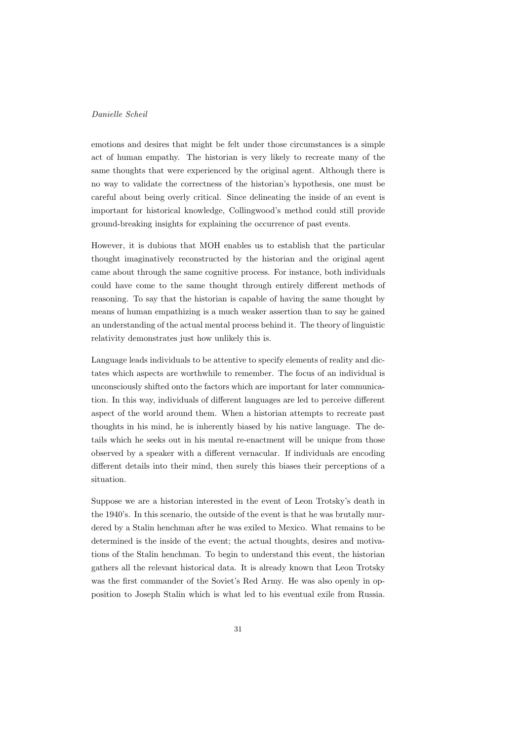emotions and desires that might be felt under those circumstances is a simple act of human empathy. The historian is very likely to recreate many of the same thoughts that were experienced by the original agent. Although there is no way to validate the correctness of the historian's hypothesis, one must be careful about being overly critical. Since delineating the inside of an event is important for historical knowledge, Collingwood's method could still provide ground-breaking insights for explaining the occurrence of past events.

However, it is dubious that MOH enables us to establish that the particular thought imaginatively reconstructed by the historian and the original agent came about through the same cognitive process. For instance, both individuals could have come to the same thought through entirely different methods of reasoning. To say that the historian is capable of having the same thought by means of human empathizing is a much weaker assertion than to say he gained an understanding of the actual mental process behind it. The theory of linguistic relativity demonstrates just how unlikely this is.

Language leads individuals to be attentive to specify elements of reality and dictates which aspects are worthwhile to remember. The focus of an individual is unconsciously shifted onto the factors which are important for later communication. In this way, individuals of different languages are led to perceive different aspect of the world around them. When a historian attempts to recreate past thoughts in his mind, he is inherently biased by his native language. The details which he seeks out in his mental re-enactment will be unique from those observed by a speaker with a different vernacular. If individuals are encoding different details into their mind, then surely this biases their perceptions of a situation.

Suppose we are a historian interested in the event of Leon Trotsky's death in the 1940's. In this scenario, the outside of the event is that he was brutally murdered by a Stalin henchman after he was exiled to Mexico. What remains to be determined is the inside of the event; the actual thoughts, desires and motivations of the Stalin henchman. To begin to understand this event, the historian gathers all the relevant historical data. It is already known that Leon Trotsky was the first commander of the Soviet's Red Army. He was also openly in opposition to Joseph Stalin which is what led to his eventual exile from Russia.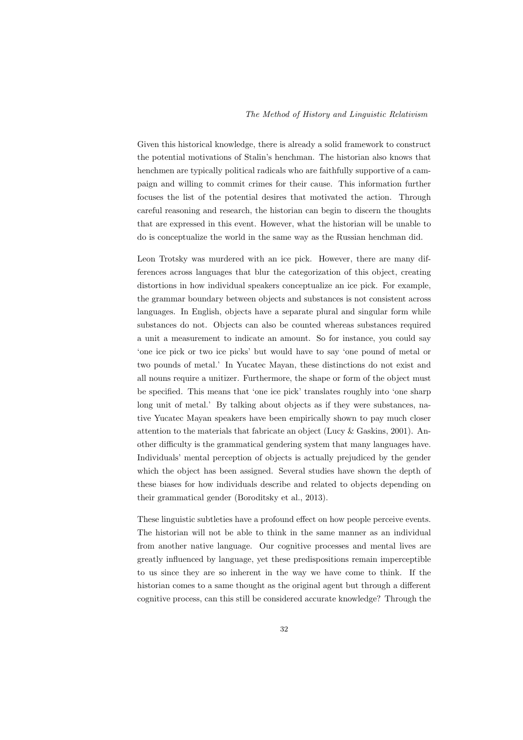Given this historical knowledge, there is already a solid framework to construct the potential motivations of Stalin's henchman. The historian also knows that henchmen are typically political radicals who are faithfully supportive of a campaign and willing to commit crimes for their cause. This information further focuses the list of the potential desires that motivated the action. Through careful reasoning and research, the historian can begin to discern the thoughts that are expressed in this event. However, what the historian will be unable to do is conceptualize the world in the same way as the Russian henchman did.

Leon Trotsky was murdered with an ice pick. However, there are many differences across languages that blur the categorization of this object, creating distortions in how individual speakers conceptualize an ice pick. For example, the grammar boundary between objects and substances is not consistent across languages. In English, objects have a separate plural and singular form while substances do not. Objects can also be counted whereas substances required a unit a measurement to indicate an amount. So for instance, you could say 'one ice pick or two ice picks' but would have to say 'one pound of metal or two pounds of metal.' In Yucatec Mayan, these distinctions do not exist and all nouns require a unitizer. Furthermore, the shape or form of the object must be specified. This means that 'one ice pick' translates roughly into 'one sharp long unit of metal.' By talking about objects as if they were substances, native Yucatec Mayan speakers have been empirically shown to pay much closer attention to the materials that fabricate an object (Lucy & Gaskins, 2001). Another difficulty is the grammatical gendering system that many languages have. Individuals' mental perception of objects is actually prejudiced by the gender which the object has been assigned. Several studies have shown the depth of these biases for how individuals describe and related to objects depending on their grammatical gender (Boroditsky et al., 2013).

These linguistic subtleties have a profound effect on how people perceive events. The historian will not be able to think in the same manner as an individual from another native language. Our cognitive processes and mental lives are greatly influenced by language, yet these predispositions remain imperceptible to us since they are so inherent in the way we have come to think. If the historian comes to a same thought as the original agent but through a different cognitive process, can this still be considered accurate knowledge? Through the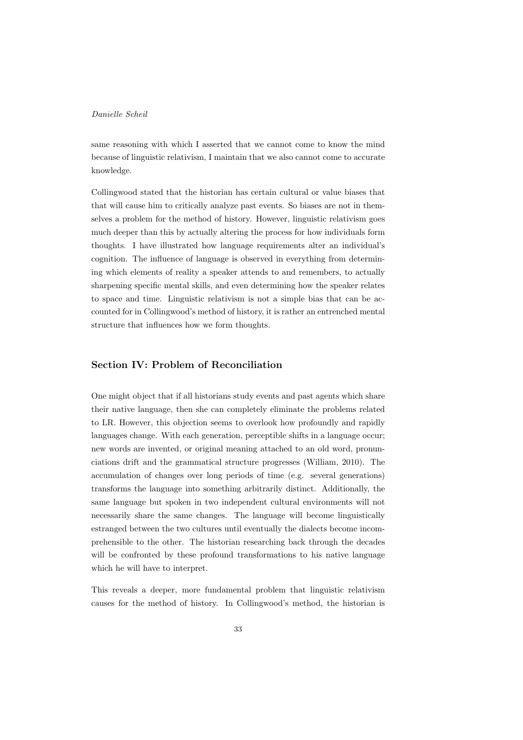same reasoning with which I asserted that we cannot come to know the mind because of linguistic relativism, I maintain that we also cannot come to accurate knowledge.

Collingwood stated that the historian has certain cultural or value biases that that will cause him to critically analyze past events. So biases are not in themselves a problem for the method of history. However, linguistic relativism goes much deeper than this by actually altering the process for how individuals form thoughts. I have illustrated how language requirements alter an individual's cognition. The influence of language is observed in everything from determining which elements of reality a speaker attends to and remembers, to actually sharpening specific mental skills, and even determining how the speaker relates to space and time. Linguistic relativism is not a simple bias that can be accounted for in Collingwood's method of history, it is rather an entrenched mental structure that influences how we form thoughts.

## Section IV: Problem of Reconciliation

One might object that if all historians study events and past agents which share their native language, then she can completely eliminate the problems related to LR. However, this objection seems to overlook how profoundly and rapidly languages change. With each generation, perceptible shifts in a language occur; new words are invented, or original meaning attached to an old word, pronunciations drift and the grammatical structure progresses (William, 2010). The accumulation of changes over long periods of time (e.g. several generations) transforms the language into something arbitrarily distinct. Additionally, the same language but spoken in two independent cultural environments will not necessarily share the same changes. The language will become linguistically estranged between the two cultures until eventually the dialects become incomprehensible to the other. The historian researching back through the decades will be confronted by these profound transformations to his native language which he will have to interpret.

This reveals a deeper, more fundamental problem that linguistic relativism causes for the method of history. In Collingwood's method, the historian is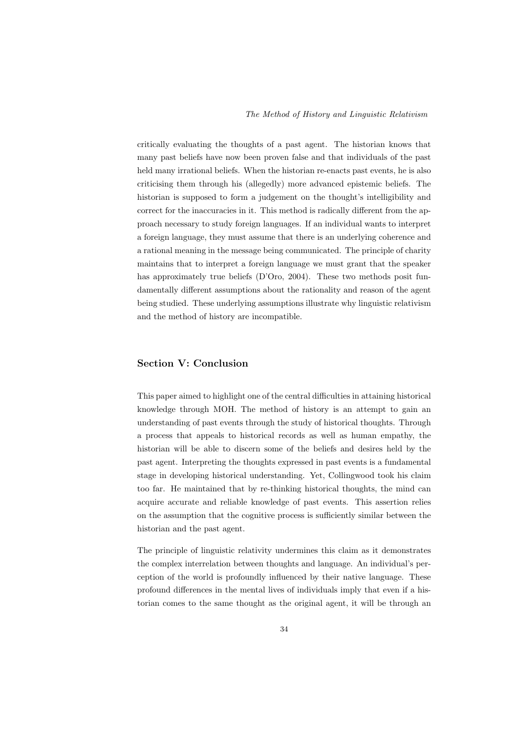critically evaluating the thoughts of a past agent. The historian knows that many past beliefs have now been proven false and that individuals of the past held many irrational beliefs. When the historian re-enacts past events, he is also criticising them through his (allegedly) more advanced epistemic beliefs. The historian is supposed to form a judgement on the thought's intelligibility and correct for the inaccuracies in it. This method is radically different from the approach necessary to study foreign languages. If an individual wants to interpret a foreign language, they must assume that there is an underlying coherence and a rational meaning in the message being communicated. The principle of charity maintains that to interpret a foreign language we must grant that the speaker has approximately true beliefs (D'Oro, 2004). These two methods posit fundamentally different assumptions about the rationality and reason of the agent being studied. These underlying assumptions illustrate why linguistic relativism and the method of history are incompatible.

#### Section V: Conclusion

This paper aimed to highlight one of the central difficulties in attaining historical knowledge through MOH. The method of history is an attempt to gain an understanding of past events through the study of historical thoughts. Through a process that appeals to historical records as well as human empathy, the historian will be able to discern some of the beliefs and desires held by the past agent. Interpreting the thoughts expressed in past events is a fundamental stage in developing historical understanding. Yet, Collingwood took his claim too far. He maintained that by re-thinking historical thoughts, the mind can acquire accurate and reliable knowledge of past events. This assertion relies on the assumption that the cognitive process is sufficiently similar between the historian and the past agent.

The principle of linguistic relativity undermines this claim as it demonstrates the complex interrelation between thoughts and language. An individual's perception of the world is profoundly influenced by their native language. These profound differences in the mental lives of individuals imply that even if a historian comes to the same thought as the original agent, it will be through an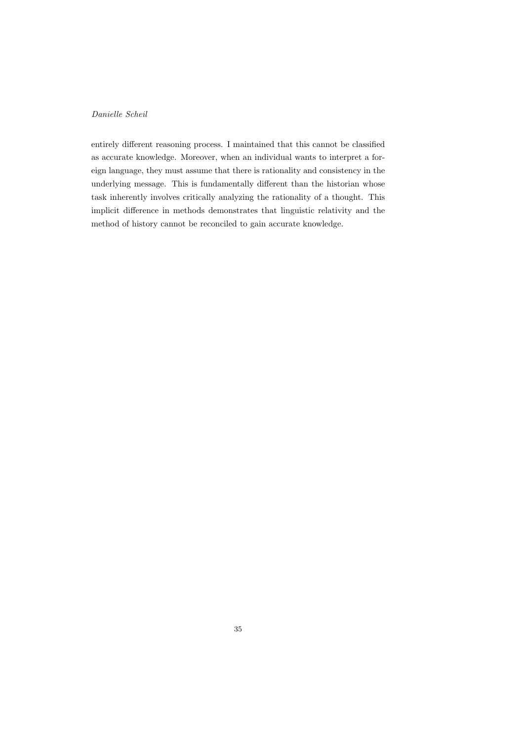entirely different reasoning process. I maintained that this cannot be classified as accurate knowledge. Moreover, when an individual wants to interpret a foreign language, they must assume that there is rationality and consistency in the underlying message. This is fundamentally different than the historian whose task inherently involves critically analyzing the rationality of a thought. This implicit difference in methods demonstrates that linguistic relativity and the method of history cannot be reconciled to gain accurate knowledge.